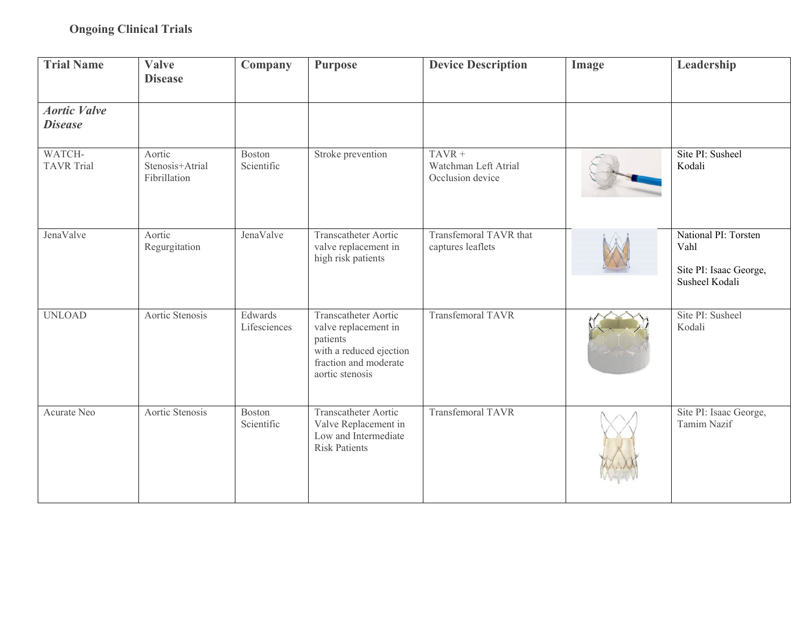| <b>Trial Name</b>                     | <b>Valve</b><br><b>Disease</b>            | Company                     | <b>Purpose</b>                                                                                                                  | <b>Device Description</b>                            | Image | Leadership                                                               |
|---------------------------------------|-------------------------------------------|-----------------------------|---------------------------------------------------------------------------------------------------------------------------------|------------------------------------------------------|-------|--------------------------------------------------------------------------|
| <b>Aortic Valve</b><br><b>Disease</b> |                                           |                             |                                                                                                                                 |                                                      |       |                                                                          |
| WATCH-<br><b>TAVR</b> Trial           | Aortic<br>Stenosis+Atrial<br>Fibrillation | <b>Boston</b><br>Scientific | Stroke prevention                                                                                                               | $TAVR +$<br>Watchman Left Atrial<br>Occlusion device |       | Site PI: Susheel<br>Kodali                                               |
| JenaValve                             | Aortic<br>Regurgitation                   | JenaValve                   | Transcatheter Aortic<br>valve replacement in<br>high risk patients                                                              | Transfemoral TAVR that<br>captures leaflets          |       | National PI: Torsten<br>Vahl<br>Site PI: Isaac George,<br>Susheel Kodali |
| <b>UNLOAD</b>                         | Aortic Stenosis                           | Edwards<br>Lifesciences     | Transcatheter Aortic<br>valve replacement in<br>patients<br>with a reduced ejection<br>fraction and moderate<br>aortic stenosis | <b>Transfemoral TAVR</b>                             |       | Site PI: Susheel<br>Kodali                                               |
| Acurate Neo                           | Aortic Stenosis                           | Boston<br>Scientific        | Transcatheter Aortic<br>Valve Replacement in<br>Low and Intermediate<br><b>Risk Patients</b>                                    | <b>Transfemoral TAVR</b>                             |       | Site PI: Isaac George,<br>Tamim Nazif                                    |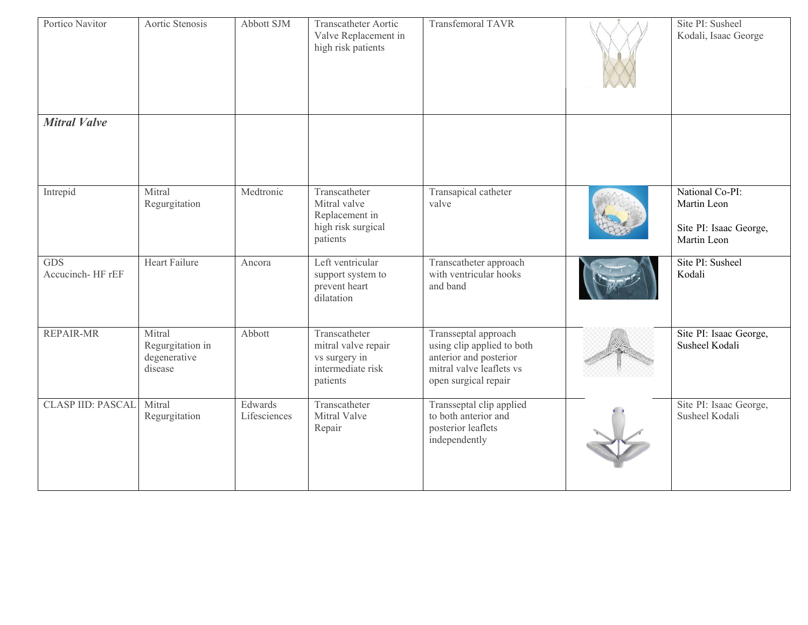| Portico Navitor                | Aortic Stenosis                                       | Abbott SJM              | Transcatheter Aortic<br>Valve Replacement in<br>high risk patients                     | <b>Transfemoral TAVR</b>                                                                                                         | Site PI: Susheel<br>Kodali, Isaac George                                |
|--------------------------------|-------------------------------------------------------|-------------------------|----------------------------------------------------------------------------------------|----------------------------------------------------------------------------------------------------------------------------------|-------------------------------------------------------------------------|
| <b>Mitral Valve</b>            |                                                       |                         |                                                                                        |                                                                                                                                  |                                                                         |
| Intrepid                       | Mitral<br>Regurgitation                               | Medtronic               | Transcatheter<br>Mitral valve<br>Replacement in<br>high risk surgical<br>patients      | Transapical catheter<br>valve                                                                                                    | National Co-PI:<br>Martin Leon<br>Site PI: Isaac George,<br>Martin Leon |
| <b>GDS</b><br>Accucinch-HF rEF | <b>Heart Failure</b>                                  | Ancora                  | Left ventricular<br>support system to<br>prevent heart<br>dilatation                   | Transcatheter approach<br>with ventricular hooks<br>and band                                                                     | Site PI: Susheel<br>Kodali                                              |
| <b>REPAIR-MR</b>               | Mitral<br>Regurgitation in<br>degenerative<br>disease | Abbott                  | Transcatheter<br>mitral valve repair<br>vs surgery in<br>intermediate risk<br>patients | Transseptal approach<br>using clip applied to both<br>anterior and posterior<br>mitral valve leaflets vs<br>open surgical repair | Site PI: Isaac George,<br>Susheel Kodali                                |
| <b>CLASP IID: PASCAL</b>       | Mitral<br>Regurgitation                               | Edwards<br>Lifesciences | Transcatheter<br>Mitral Valve<br>Repair                                                | Transseptal clip applied<br>to both anterior and<br>posterior leaflets<br>independently                                          | Site PI: Isaac George,<br>Susheel Kodali                                |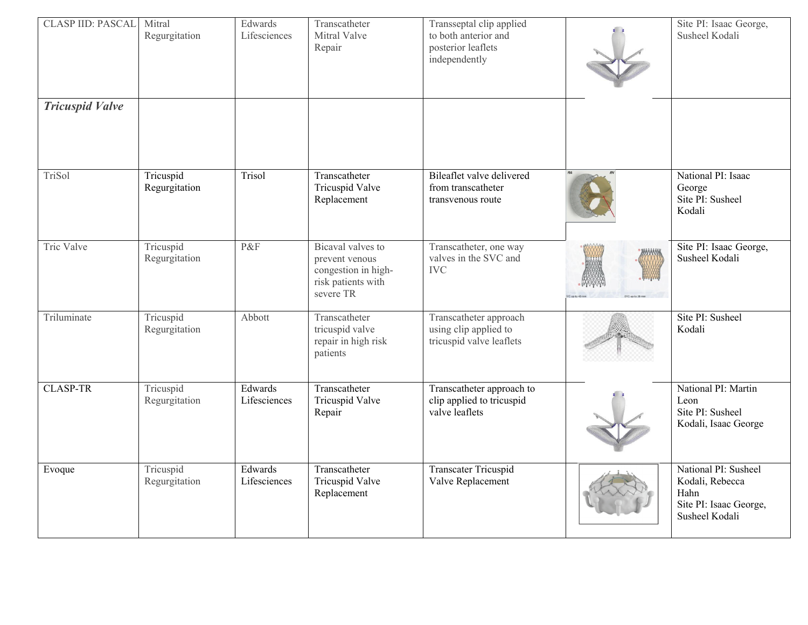| <b>CLASP IID: PASCAL</b> | Mitral<br>Regurgitation    | Edwards<br>Lifesciences | Transcatheter<br>Mitral Valve<br>Repair                                                       | Transseptal clip applied<br>to both anterior and<br>posterior leaflets<br>independently | Site PI: Isaac George,<br>Susheel Kodali                                                    |
|--------------------------|----------------------------|-------------------------|-----------------------------------------------------------------------------------------------|-----------------------------------------------------------------------------------------|---------------------------------------------------------------------------------------------|
| <b>Tricuspid Valve</b>   |                            |                         |                                                                                               |                                                                                         |                                                                                             |
| TriSol                   | Tricuspid<br>Regurgitation | Trisol                  | Transcatheter<br>Tricuspid Valve<br>Replacement                                               | Bileaflet valve delivered<br>from transcatheter<br>transvenous route                    | National PI: Isaac<br>George<br>Site PI: Susheel<br>Kodali                                  |
| Tric Valve               | Tricuspid<br>Regurgitation | P&F                     | Bicaval valves to<br>prevent venous<br>congestion in high-<br>risk patients with<br>severe TR | Transcatheter, one way<br>valves in the SVC and<br><b>IVC</b>                           | Site PI: Isaac George,<br>Susheel Kodali                                                    |
| Triluminate              | Tricuspid<br>Regurgitation | Abbott                  | Transcatheter<br>tricuspid valve<br>repair in high risk<br>patients                           | Transcatheter approach<br>using clip applied to<br>tricuspid valve leaflets             | Site PI: Susheel<br>Kodali                                                                  |
| <b>CLASP-TR</b>          | Tricuspid<br>Regurgitation | Edwards<br>Lifesciences | Transcatheter<br>Tricuspid Valve<br>Repair                                                    | Transcatheter approach to<br>clip applied to tricuspid<br>valve leaflets                | National PI: Martin<br>Leon<br>Site PI: Susheel<br>Kodali, Isaac George                     |
| Evoque                   | Tricuspid<br>Regurgitation | Edwards<br>Lifesciences | Transcatheter<br>Tricuspid Valve<br>Replacement                                               | <b>Transcater Tricuspid</b><br>Valve Replacement                                        | National PI: Susheel<br>Kodali, Rebecca<br>Hahn<br>Site PI: Isaac George,<br>Susheel Kodali |